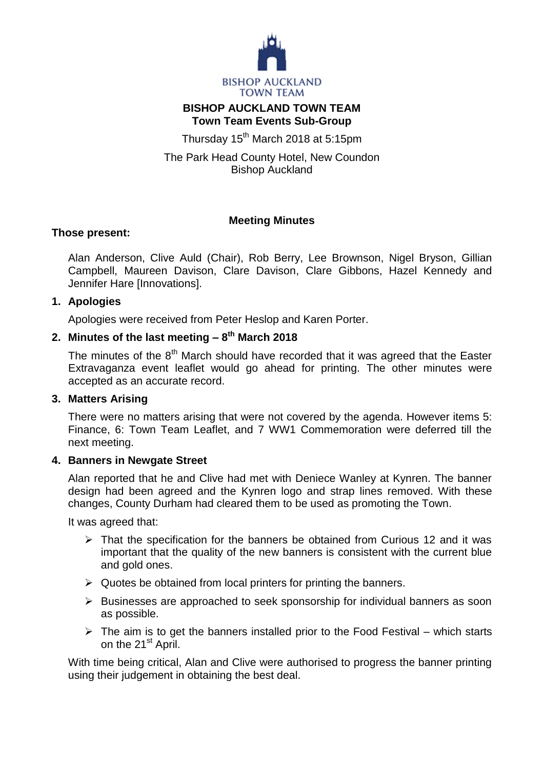

# **BISHOP AUCKLAND TOWN TEAM Town Team Events Sub-Group**

Thursday 15<sup>th</sup> March 2018 at 5:15pm

The Park Head County Hotel, New Coundon Bishop Auckland

# **Meeting Minutes**

#### **Those present:**

Alan Anderson, Clive Auld (Chair), Rob Berry, Lee Brownson, Nigel Bryson, Gillian Campbell, Maureen Davison, Clare Davison, Clare Gibbons, Hazel Kennedy and Jennifer Hare [Innovations].

#### **1. Apologies**

Apologies were received from Peter Heslop and Karen Porter.

# **2. Minutes of the last meeting – 8 th March 2018**

The minutes of the  $8<sup>th</sup>$  March should have recorded that it was agreed that the Easter Extravaganza event leaflet would go ahead for printing. The other minutes were accepted as an accurate record.

#### **3. Matters Arising**

There were no matters arising that were not covered by the agenda. However items 5: Finance, 6: Town Team Leaflet, and 7 WW1 Commemoration were deferred till the next meeting.

# **4. Banners in Newgate Street**

Alan reported that he and Clive had met with Deniece Wanley at Kynren. The banner design had been agreed and the Kynren logo and strap lines removed. With these changes, County Durham had cleared them to be used as promoting the Town.

It was agreed that:

- $\triangleright$  That the specification for the banners be obtained from Curious 12 and it was important that the quality of the new banners is consistent with the current blue and gold ones.
- $\triangleright$  Quotes be obtained from local printers for printing the banners.
- $\triangleright$  Businesses are approached to seek sponsorship for individual banners as soon as possible.
- $\triangleright$  The aim is to get the banners installed prior to the Food Festival which starts on the 21<sup>st</sup> April.

With time being critical, Alan and Clive were authorised to progress the banner printing using their judgement in obtaining the best deal.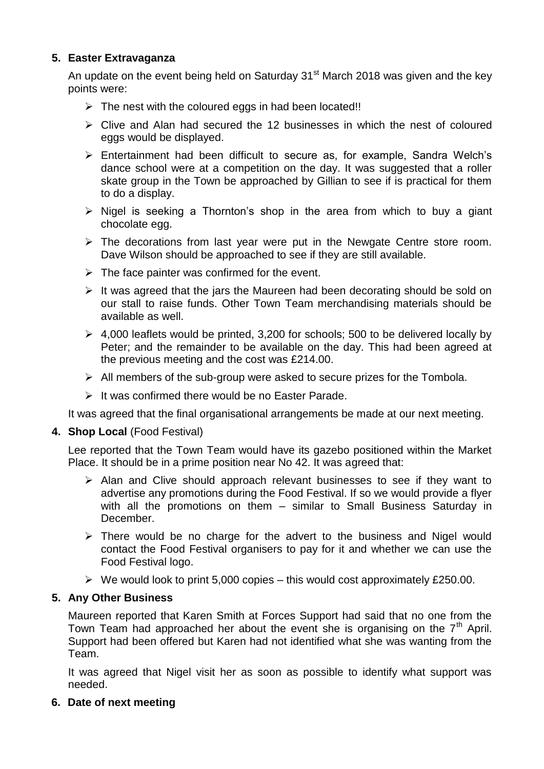# **5. Easter Extravaganza**

An update on the event being held on Saturday 31<sup>st</sup> March 2018 was given and the key points were:

- $\triangleright$  The nest with the coloured eggs in had been located!!
- $\triangleright$  Clive and Alan had secured the 12 businesses in which the nest of coloured eggs would be displayed.
- $\triangleright$  Entertainment had been difficult to secure as, for example, Sandra Welch's dance school were at a competition on the day. It was suggested that a roller skate group in the Town be approached by Gillian to see if is practical for them to do a display.
- $\triangleright$  Nigel is seeking a Thornton's shop in the area from which to buy a giant chocolate egg.
- $\triangleright$  The decorations from last year were put in the Newgate Centre store room. Dave Wilson should be approached to see if they are still available.
- $\triangleright$  The face painter was confirmed for the event.
- $\triangleright$  It was agreed that the jars the Maureen had been decorating should be sold on our stall to raise funds. Other Town Team merchandising materials should be available as well.
- $\geq 4,000$  leaflets would be printed, 3,200 for schools; 500 to be delivered locally by Peter; and the remainder to be available on the day. This had been agreed at the previous meeting and the cost was £214.00.
- $\triangleright$  All members of the sub-group were asked to secure prizes for the Tombola.
- $\triangleright$  It was confirmed there would be no Easter Parade.

It was agreed that the final organisational arrangements be made at our next meeting.

#### **4. Shop Local** (Food Festival)

Lee reported that the Town Team would have its gazebo positioned within the Market Place. It should be in a prime position near No 42. It was agreed that:

- $\triangleright$  Alan and Clive should approach relevant businesses to see if they want to advertise any promotions during the Food Festival. If so we would provide a flyer with all the promotions on them – similar to Small Business Saturday in December.
- $\triangleright$  There would be no charge for the advert to the business and Nigel would contact the Food Festival organisers to pay for it and whether we can use the Food Festival logo.
- $\triangleright$  We would look to print 5,000 copies this would cost approximately £250.00.

# **5. Any Other Business**

Maureen reported that Karen Smith at Forces Support had said that no one from the Town Team had approached her about the event she is organising on the  $7<sup>th</sup>$  April. Support had been offered but Karen had not identified what she was wanting from the Team.

It was agreed that Nigel visit her as soon as possible to identify what support was needed.

# **6. Date of next meeting**